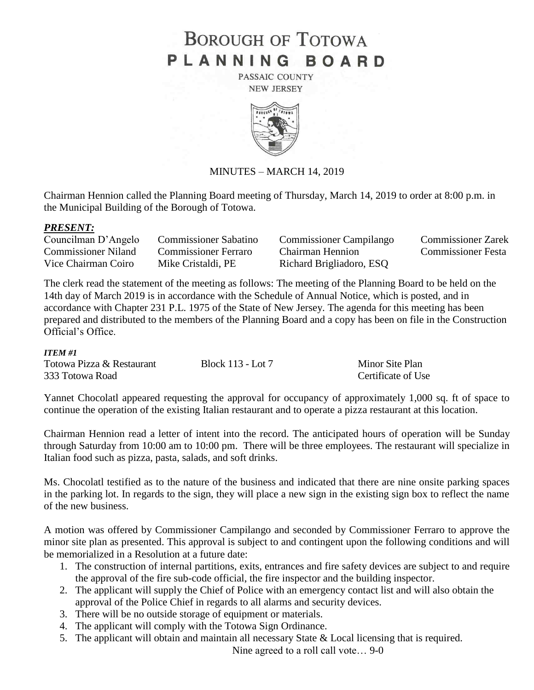# **BOROUGH OF TOTOWA** PLANNING BOARD

PASSAIC COUNTY **NEW JERSEY** 



# MINUTES – MARCH 14, 2019

Chairman Hennion called the Planning Board meeting of Thursday, March 14, 2019 to order at 8:00 p.m. in the Municipal Building of the Borough of Totowa.

#### *PRESENT:*

| Councilman D'Angelo        | <b>Commissioner Sabatino</b> | <b>Commissioner Campilango</b> | <b>Commissioner Zarek</b> |
|----------------------------|------------------------------|--------------------------------|---------------------------|
| <b>Commissioner Niland</b> | Commissioner Ferraro         | Chairman Hennion               | Commissioner Festa        |
| Vice Chairman Coiro        | Mike Cristaldi, PE           | Richard Brigliadoro, ESQ       |                           |

The clerk read the statement of the meeting as follows: The meeting of the Planning Board to be held on the 14th day of March 2019 is in accordance with the Schedule of Annual Notice, which is posted, and in accordance with Chapter 231 P.L. 1975 of the State of New Jersey. The agenda for this meeting has been prepared and distributed to the members of the Planning Board and a copy has been on file in the Construction Official's Office.

#### *ITEM #1*

| Totowa Pizza & Restaurant | Block 113 - Lot 7 | Minor Site Plan    |
|---------------------------|-------------------|--------------------|
| 333 Totowa Road           |                   | Certificate of Use |

Yannet Chocolatl appeared requesting the approval for occupancy of approximately 1,000 sq. ft of space to continue the operation of the existing Italian restaurant and to operate a pizza restaurant at this location.

Chairman Hennion read a letter of intent into the record. The anticipated hours of operation will be Sunday through Saturday from 10:00 am to 10:00 pm. There will be three employees. The restaurant will specialize in Italian food such as pizza, pasta, salads, and soft drinks.

Ms. Chocolatl testified as to the nature of the business and indicated that there are nine onsite parking spaces in the parking lot. In regards to the sign, they will place a new sign in the existing sign box to reflect the name of the new business.

A motion was offered by Commissioner Campilango and seconded by Commissioner Ferraro to approve the minor site plan as presented. This approval is subject to and contingent upon the following conditions and will be memorialized in a Resolution at a future date:

- 1. The construction of internal partitions, exits, entrances and fire safety devices are subject to and require the approval of the fire sub-code official, the fire inspector and the building inspector.
- 2. The applicant will supply the Chief of Police with an emergency contact list and will also obtain the approval of the Police Chief in regards to all alarms and security devices.
- 3. There will be no outside storage of equipment or materials.
- 4. The applicant will comply with the Totowa Sign Ordinance.
- 5. The applicant will obtain and maintain all necessary State & Local licensing that is required.

Nine agreed to a roll call vote… 9-0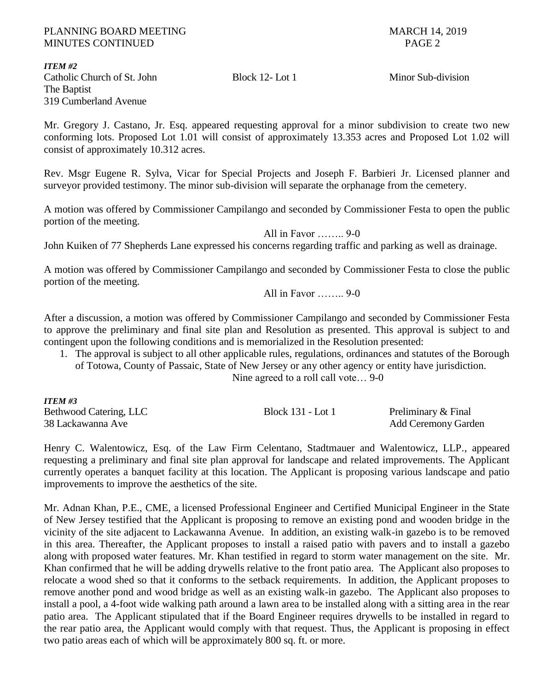*ITEM #2* Catholic Church of St. John Block 12- Lot 1 Minor Sub-division The Baptist 319 Cumberland Avenue

Mr. Gregory J. Castano, Jr. Esq. appeared requesting approval for a minor subdivision to create two new conforming lots. Proposed Lot 1.01 will consist of approximately 13.353 acres and Proposed Lot 1.02 will consist of approximately 10.312 acres.

Rev. Msgr Eugene R. Sylva, Vicar for Special Projects and Joseph F. Barbieri Jr. Licensed planner and surveyor provided testimony. The minor sub-division will separate the orphanage from the cemetery.

A motion was offered by Commissioner Campilango and seconded by Commissioner Festa to open the public portion of the meeting.

All in Favor …….. 9-0

John Kuiken of 77 Shepherds Lane expressed his concerns regarding traffic and parking as well as drainage.

A motion was offered by Commissioner Campilango and seconded by Commissioner Festa to close the public portion of the meeting.

All in Favor …….. 9-0

After a discussion, a motion was offered by Commissioner Campilango and seconded by Commissioner Festa to approve the preliminary and final site plan and Resolution as presented. This approval is subject to and contingent upon the following conditions and is memorialized in the Resolution presented:

1. The approval is subject to all other applicable rules, regulations, ordinances and statutes of the Borough of Totowa, County of Passaic, State of New Jersey or any other agency or entity have jurisdiction.

Nine agreed to a roll call vote… 9-0

| <b>ITEM #3</b>         |                   |                            |
|------------------------|-------------------|----------------------------|
| Bethwood Catering, LLC | Block 131 - Lot 1 | Preliminary & Final        |
| 38 Lackawanna Ave      |                   | <b>Add Ceremony Garden</b> |

Henry C. Walentowicz, Esq. of the Law Firm Celentano, Stadtmauer and Walentowicz, LLP., appeared requesting a preliminary and final site plan approval for landscape and related improvements. The Applicant currently operates a banquet facility at this location. The Applicant is proposing various landscape and patio improvements to improve the aesthetics of the site.

Mr. Adnan Khan, P.E., CME, a licensed Professional Engineer and Certified Municipal Engineer in the State of New Jersey testified that the Applicant is proposing to remove an existing pond and wooden bridge in the vicinity of the site adjacent to Lackawanna Avenue. In addition, an existing walk-in gazebo is to be removed in this area. Thereafter, the Applicant proposes to install a raised patio with pavers and to install a gazebo along with proposed water features. Mr. Khan testified in regard to storm water management on the site. Mr. Khan confirmed that he will be adding drywells relative to the front patio area. The Applicant also proposes to relocate a wood shed so that it conforms to the setback requirements. In addition, the Applicant proposes to remove another pond and wood bridge as well as an existing walk-in gazebo. The Applicant also proposes to install a pool, a 4-foot wide walking path around a lawn area to be installed along with a sitting area in the rear patio area. The Applicant stipulated that if the Board Engineer requires drywells to be installed in regard to the rear patio area, the Applicant would comply with that request. Thus, the Applicant is proposing in effect two patio areas each of which will be approximately 800 sq. ft. or more.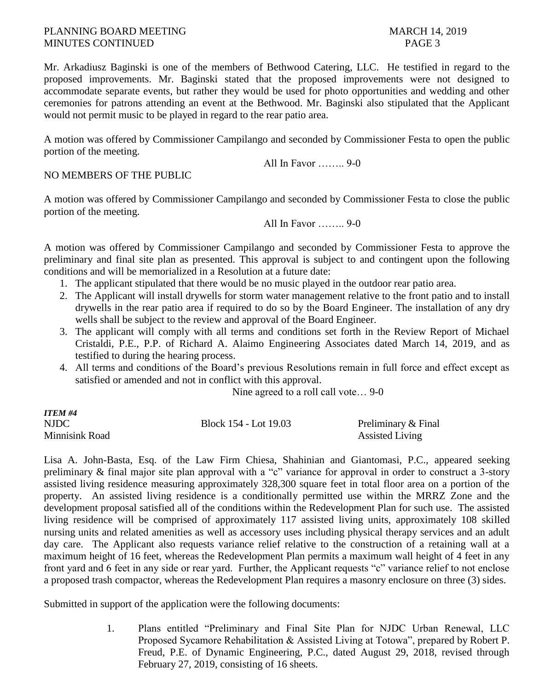Mr. Arkadiusz Baginski is one of the members of Bethwood Catering, LLC. He testified in regard to the proposed improvements. Mr. Baginski stated that the proposed improvements were not designed to accommodate separate events, but rather they would be used for photo opportunities and wedding and other ceremonies for patrons attending an event at the Bethwood. Mr. Baginski also stipulated that the Applicant would not permit music to be played in regard to the rear patio area.

A motion was offered by Commissioner Campilango and seconded by Commissioner Festa to open the public portion of the meeting.

All In Favor …….. 9-0

# NO MEMBERS OF THE PUBLIC

A motion was offered by Commissioner Campilango and seconded by Commissioner Festa to close the public portion of the meeting.

All In Favor 9-0

A motion was offered by Commissioner Campilango and seconded by Commissioner Festa to approve the preliminary and final site plan as presented. This approval is subject to and contingent upon the following conditions and will be memorialized in a Resolution at a future date:

- 1. The applicant stipulated that there would be no music played in the outdoor rear patio area.
- 2. The Applicant will install drywells for storm water management relative to the front patio and to install drywells in the rear patio area if required to do so by the Board Engineer. The installation of any dry wells shall be subject to the review and approval of the Board Engineer.
- 3. The applicant will comply with all terms and conditions set forth in the Review Report of Michael Cristaldi, P.E., P.P. of Richard A. Alaimo Engineering Associates dated March 14, 2019, and as testified to during the hearing process.
- 4. All terms and conditions of the Board's previous Resolutions remain in full force and effect except as satisfied or amended and not in conflict with this approval.

Nine agreed to a roll call vote… 9-0

| ITEM #4        |                       |                        |
|----------------|-----------------------|------------------------|
| NJDC           | Block 154 - Lot 19.03 | Preliminary & Final    |
| Minnisink Road |                       | <b>Assisted Living</b> |

Lisa A. John-Basta, Esq. of the Law Firm Chiesa, Shahinian and Giantomasi, P.C., appeared seeking preliminary & final major site plan approval with a "c" variance for approval in order to construct a 3-story assisted living residence measuring approximately 328,300 square feet in total floor area on a portion of the property. An assisted living residence is a conditionally permitted use within the MRRZ Zone and the development proposal satisfied all of the conditions within the Redevelopment Plan for such use. The assisted living residence will be comprised of approximately 117 assisted living units, approximately 108 skilled nursing units and related amenities as well as accessory uses including physical therapy services and an adult day care. The Applicant also requests variance relief relative to the construction of a retaining wall at a maximum height of 16 feet, whereas the Redevelopment Plan permits a maximum wall height of 4 feet in any front yard and 6 feet in any side or rear yard. Further, the Applicant requests "c" variance relief to not enclose a proposed trash compactor, whereas the Redevelopment Plan requires a masonry enclosure on three (3) sides.

Submitted in support of the application were the following documents:

1. Plans entitled "Preliminary and Final Site Plan for NJDC Urban Renewal, LLC Proposed Sycamore Rehabilitation & Assisted Living at Totowa", prepared by Robert P. Freud, P.E. of Dynamic Engineering, P.C., dated August 29, 2018, revised through February 27, 2019, consisting of 16 sheets.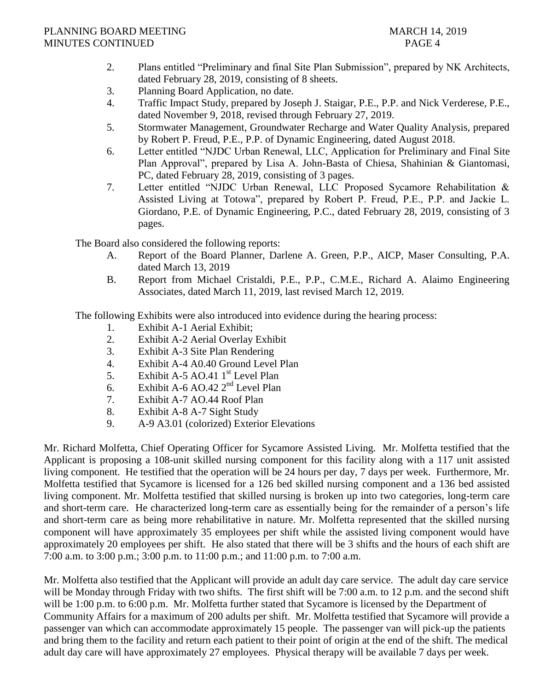- 2. Plans entitled "Preliminary and final Site Plan Submission", prepared by NK Architects, dated February 28, 2019, consisting of 8 sheets.
- 3. Planning Board Application, no date.
- 4. Traffic Impact Study, prepared by Joseph J. Staigar, P.E., P.P. and Nick Verderese, P.E., dated November 9, 2018, revised through February 27, 2019.
- 5. Stormwater Management, Groundwater Recharge and Water Quality Analysis, prepared by Robert P. Freud, P.E., P.P. of Dynamic Engineering, dated August 2018.
- 6. Letter entitled "NJDC Urban Renewal, LLC, Application for Preliminary and Final Site Plan Approval", prepared by Lisa A. John-Basta of Chiesa, Shahinian & Giantomasi, PC, dated February 28, 2019, consisting of 3 pages.
- 7. Letter entitled "NJDC Urban Renewal, LLC Proposed Sycamore Rehabilitation & Assisted Living at Totowa", prepared by Robert P. Freud, P.E., P.P. and Jackie L. Giordano, P.E. of Dynamic Engineering, P.C., dated February 28, 2019, consisting of 3 pages.

The Board also considered the following reports:

- A. Report of the Board Planner, Darlene A. Green, P.P., AICP, Maser Consulting, P.A. dated March 13, 2019
- B. Report from Michael Cristaldi, P.E., P.P., C.M.E., Richard A. Alaimo Engineering Associates, dated March 11, 2019, last revised March 12, 2019.

The following Exhibits were also introduced into evidence during the hearing process:

- 1. Exhibit A-1 Aerial Exhibit;
- 2. Exhibit A-2 Aerial Overlay Exhibit
- 3. Exhibit A-3 Site Plan Rendering
- 4. Exhibit A-4 A0.40 Ground Level Plan
- 5. Exhibit A-5 AO.41 1<sup>st</sup> Level Plan
- 6. Exhibit A-6 AO.42 2nd Level Plan
- 7. Exhibit A-7 AO.44 Roof Plan
- 8. Exhibit A-8 A-7 Sight Study
- 9. A-9 A3.01 (colorized) Exterior Elevations

Mr. Richard Molfetta, Chief Operating Officer for Sycamore Assisted Living. Mr. Molfetta testified that the Applicant is proposing a 108-unit skilled nursing component for this facility along with a 117 unit assisted living component. He testified that the operation will be 24 hours per day, 7 days per week. Furthermore, Mr. Molfetta testified that Sycamore is licensed for a 126 bed skilled nursing component and a 136 bed assisted living component. Mr. Molfetta testified that skilled nursing is broken up into two categories, long-term care and short-term care. He characterized long-term care as essentially being for the remainder of a person's life and short-term care as being more rehabilitative in nature. Mr. Molfetta represented that the skilled nursing component will have approximately 35 employees per shift while the assisted living component would have approximately 20 employees per shift. He also stated that there will be 3 shifts and the hours of each shift are 7:00 a.m. to 3:00 p.m.; 3:00 p.m. to 11:00 p.m.; and 11:00 p.m. to 7:00 a.m.

Mr. Molfetta also testified that the Applicant will provide an adult day care service. The adult day care service will be Monday through Friday with two shifts. The first shift will be 7:00 a.m. to 12 p.m. and the second shift will be 1:00 p.m. to 6:00 p.m. Mr. Molfetta further stated that Sycamore is licensed by the Department of Community Affairs for a maximum of 200 adults per shift. Mr. Molfetta testified that Sycamore will provide a passenger van which can accommodate approximately 15 people. The passenger van will pick-up the patients and bring them to the facility and return each patient to their point of origin at the end of the shift. The medical adult day care will have approximately 27 employees. Physical therapy will be available 7 days per week.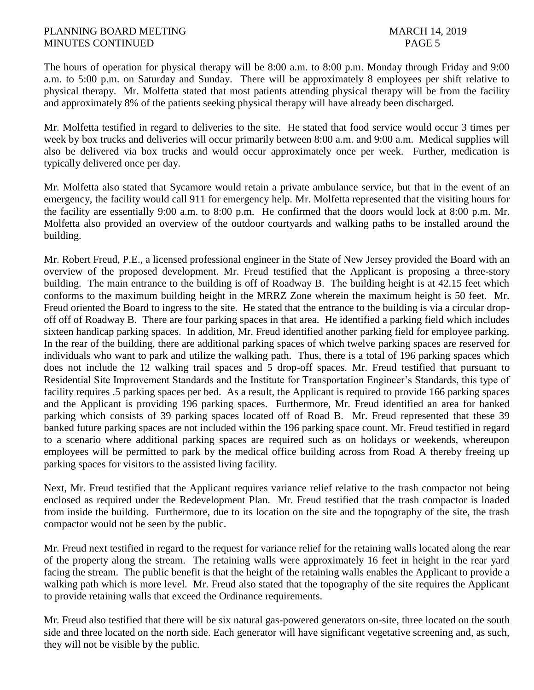The hours of operation for physical therapy will be 8:00 a.m. to 8:00 p.m. Monday through Friday and 9:00 a.m. to 5:00 p.m. on Saturday and Sunday. There will be approximately 8 employees per shift relative to physical therapy. Mr. Molfetta stated that most patients attending physical therapy will be from the facility and approximately 8% of the patients seeking physical therapy will have already been discharged.

Mr. Molfetta testified in regard to deliveries to the site. He stated that food service would occur 3 times per week by box trucks and deliveries will occur primarily between 8:00 a.m. and 9:00 a.m. Medical supplies will also be delivered via box trucks and would occur approximately once per week. Further, medication is typically delivered once per day.

Mr. Molfetta also stated that Sycamore would retain a private ambulance service, but that in the event of an emergency, the facility would call 911 for emergency help. Mr. Molfetta represented that the visiting hours for the facility are essentially 9:00 a.m. to 8:00 p.m. He confirmed that the doors would lock at 8:00 p.m. Mr. Molfetta also provided an overview of the outdoor courtyards and walking paths to be installed around the building.

Mr. Robert Freud, P.E., a licensed professional engineer in the State of New Jersey provided the Board with an overview of the proposed development. Mr. Freud testified that the Applicant is proposing a three-story building. The main entrance to the building is off of Roadway B. The building height is at 42.15 feet which conforms to the maximum building height in the MRRZ Zone wherein the maximum height is 50 feet. Mr. Freud oriented the Board to ingress to the site. He stated that the entrance to the building is via a circular dropoff off of Roadway B. There are four parking spaces in that area. He identified a parking field which includes sixteen handicap parking spaces. In addition, Mr. Freud identified another parking field for employee parking. In the rear of the building, there are additional parking spaces of which twelve parking spaces are reserved for individuals who want to park and utilize the walking path. Thus, there is a total of 196 parking spaces which does not include the 12 walking trail spaces and 5 drop-off spaces. Mr. Freud testified that pursuant to Residential Site Improvement Standards and the Institute for Transportation Engineer's Standards, this type of facility requires .5 parking spaces per bed. As a result, the Applicant is required to provide 166 parking spaces and the Applicant is providing 196 parking spaces. Furthermore, Mr. Freud identified an area for banked parking which consists of 39 parking spaces located off of Road B. Mr. Freud represented that these 39 banked future parking spaces are not included within the 196 parking space count. Mr. Freud testified in regard to a scenario where additional parking spaces are required such as on holidays or weekends, whereupon employees will be permitted to park by the medical office building across from Road A thereby freeing up parking spaces for visitors to the assisted living facility.

Next, Mr. Freud testified that the Applicant requires variance relief relative to the trash compactor not being enclosed as required under the Redevelopment Plan. Mr. Freud testified that the trash compactor is loaded from inside the building. Furthermore, due to its location on the site and the topography of the site, the trash compactor would not be seen by the public.

Mr. Freud next testified in regard to the request for variance relief for the retaining walls located along the rear of the property along the stream. The retaining walls were approximately 16 feet in height in the rear yard facing the stream. The public benefit is that the height of the retaining walls enables the Applicant to provide a walking path which is more level. Mr. Freud also stated that the topography of the site requires the Applicant to provide retaining walls that exceed the Ordinance requirements.

Mr. Freud also testified that there will be six natural gas-powered generators on-site, three located on the south side and three located on the north side. Each generator will have significant vegetative screening and, as such, they will not be visible by the public.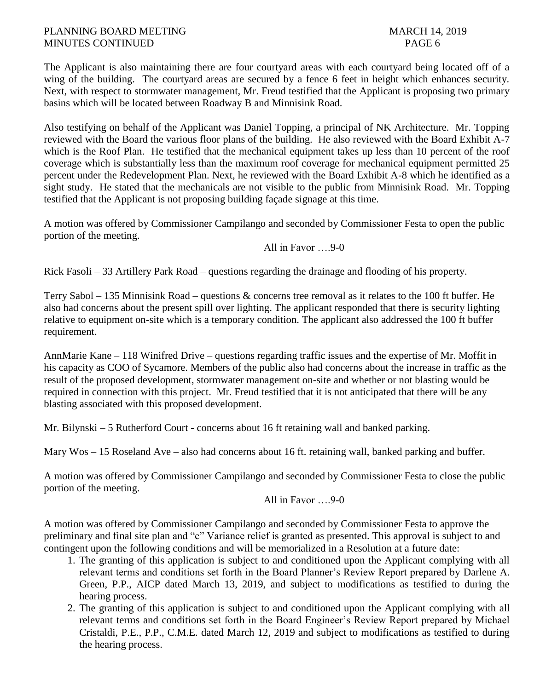The Applicant is also maintaining there are four courtyard areas with each courtyard being located off of a wing of the building. The courtyard areas are secured by a fence 6 feet in height which enhances security. Next, with respect to stormwater management, Mr. Freud testified that the Applicant is proposing two primary basins which will be located between Roadway B and Minnisink Road.

Also testifying on behalf of the Applicant was Daniel Topping, a principal of NK Architecture. Mr. Topping reviewed with the Board the various floor plans of the building. He also reviewed with the Board Exhibit A-7 which is the Roof Plan. He testified that the mechanical equipment takes up less than 10 percent of the roof coverage which is substantially less than the maximum roof coverage for mechanical equipment permitted 25 percent under the Redevelopment Plan. Next, he reviewed with the Board Exhibit A-8 which he identified as a sight study. He stated that the mechanicals are not visible to the public from Minnisink Road. Mr. Topping testified that the Applicant is not proposing building façade signage at this time.

A motion was offered by Commissioner Campilango and seconded by Commissioner Festa to open the public portion of the meeting.

All in Favor ….9-0

Rick Fasoli – 33 Artillery Park Road – questions regarding the drainage and flooding of his property.

Terry Sabol – 135 Minnisink Road – questions & concerns tree removal as it relates to the 100 ft buffer. He also had concerns about the present spill over lighting. The applicant responded that there is security lighting relative to equipment on-site which is a temporary condition. The applicant also addressed the 100 ft buffer requirement.

AnnMarie Kane – 118 Winifred Drive – questions regarding traffic issues and the expertise of Mr. Moffit in his capacity as COO of Sycamore. Members of the public also had concerns about the increase in traffic as the result of the proposed development, stormwater management on-site and whether or not blasting would be required in connection with this project. Mr. Freud testified that it is not anticipated that there will be any blasting associated with this proposed development.

Mr. Bilynski – 5 Rutherford Court - concerns about 16 ft retaining wall and banked parking.

Mary Wos – 15 Roseland Ave – also had concerns about 16 ft. retaining wall, banked parking and buffer.

A motion was offered by Commissioner Campilango and seconded by Commissioner Festa to close the public portion of the meeting.

All in Favor ….9-0

A motion was offered by Commissioner Campilango and seconded by Commissioner Festa to approve the preliminary and final site plan and "c" Variance relief is granted as presented. This approval is subject to and contingent upon the following conditions and will be memorialized in a Resolution at a future date:

- 1. The granting of this application is subject to and conditioned upon the Applicant complying with all relevant terms and conditions set forth in the Board Planner's Review Report prepared by Darlene A. Green, P.P., AICP dated March 13, 2019, and subject to modifications as testified to during the hearing process.
- 2. The granting of this application is subject to and conditioned upon the Applicant complying with all relevant terms and conditions set forth in the Board Engineer's Review Report prepared by Michael Cristaldi, P.E., P.P., C.M.E. dated March 12, 2019 and subject to modifications as testified to during the hearing process.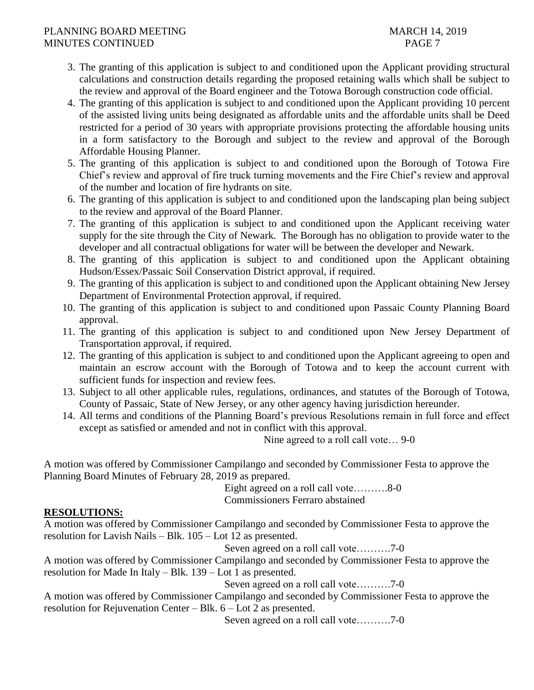- 3. The granting of this application is subject to and conditioned upon the Applicant providing structural calculations and construction details regarding the proposed retaining walls which shall be subject to the review and approval of the Board engineer and the Totowa Borough construction code official.
- 4. The granting of this application is subject to and conditioned upon the Applicant providing 10 percent of the assisted living units being designated as affordable units and the affordable units shall be Deed restricted for a period of 30 years with appropriate provisions protecting the affordable housing units in a form satisfactory to the Borough and subject to the review and approval of the Borough Affordable Housing Planner.
- 5. The granting of this application is subject to and conditioned upon the Borough of Totowa Fire Chief's review and approval of fire truck turning movements and the Fire Chief's review and approval of the number and location of fire hydrants on site.
- 6. The granting of this application is subject to and conditioned upon the landscaping plan being subject to the review and approval of the Board Planner.
- 7. The granting of this application is subject to and conditioned upon the Applicant receiving water supply for the site through the City of Newark. The Borough has no obligation to provide water to the developer and all contractual obligations for water will be between the developer and Newark.
- 8. The granting of this application is subject to and conditioned upon the Applicant obtaining Hudson/Essex/Passaic Soil Conservation District approval, if required.
- 9. The granting of this application is subject to and conditioned upon the Applicant obtaining New Jersey Department of Environmental Protection approval, if required.
- 10. The granting of this application is subject to and conditioned upon Passaic County Planning Board approval.
- 11. The granting of this application is subject to and conditioned upon New Jersey Department of Transportation approval, if required.
- 12. The granting of this application is subject to and conditioned upon the Applicant agreeing to open and maintain an escrow account with the Borough of Totowa and to keep the account current with sufficient funds for inspection and review fees.
- 13. Subject to all other applicable rules, regulations, ordinances, and statutes of the Borough of Totowa, County of Passaic, State of New Jersey, or any other agency having jurisdiction hereunder.
- 14. All terms and conditions of the Planning Board's previous Resolutions remain in full force and effect except as satisfied or amended and not in conflict with this approval.

Nine agreed to a roll call vote… 9-0

A motion was offered by Commissioner Campilango and seconded by Commissioner Festa to approve the Planning Board Minutes of February 28, 2019 as prepared.

Eight agreed on a roll call vote……….8-0 Commissioners Ferraro abstained

# **RESOLUTIONS:**

A motion was offered by Commissioner Campilango and seconded by Commissioner Festa to approve the resolution for Lavish Nails – Blk. 105 – Lot 12 as presented.

Seven agreed on a roll call vote……….7-0

A motion was offered by Commissioner Campilango and seconded by Commissioner Festa to approve the resolution for Made In Italy – Blk. 139 – Lot 1 as presented.

Seven agreed on a roll call vote……….7-0

A motion was offered by Commissioner Campilango and seconded by Commissioner Festa to approve the resolution for Rejuvenation Center – Blk. 6 – Lot 2 as presented.

Seven agreed on a roll call vote……….7-0